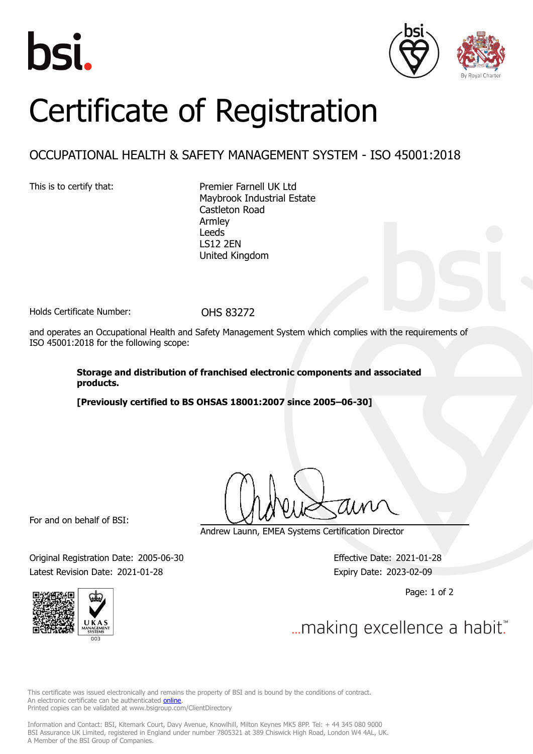





## Certificate of Registration

## OCCUPATIONAL HEALTH & SAFETY MANAGEMENT SYSTEM - ISO 45001:2018

This is to certify that: Premier Farnell UK Ltd Maybrook Industrial Estate Castleton Road Armley Leeds LS12 2EN United Kingdom

Holds Certificate Number: 0HS 83272

and operates an Occupational Health and Safety Management System which complies with the requirements of ISO 45001:2018 for the following scope:

> **Storage and distribution of franchised electronic components and associated products.**

**[Previously certified to BS OHSAS 18001:2007 since 2005–06-30]**

For and on behalf of BSI:

Andrew Launn, EMEA Systems Certification Director

Original Registration Date: 2005-06-30 Effective Date: 2021-01-28 Latest Revision Date: 2021-01-28 Expiry Date: 2023-02-09

Page: 1 of 2





... making excellence a habit."

This certificate was issued electronically and remains the property of BSI and is bound by the conditions of contract. An electronic certificate can be authenticated **[online](https://pgplus.bsigroup.com/CertificateValidation/CertificateValidator.aspx?CertificateNumber=OHS+83272&ReIssueDate=28%2f01%2f2021&Template=uk)** Printed copies can be validated at www.bsigroup.com/ClientDirectory

Information and Contact: BSI, Kitemark Court, Davy Avenue, Knowlhill, Milton Keynes MK5 8PP. Tel: + 44 345 080 9000 BSI Assurance UK Limited, registered in England under number 7805321 at 389 Chiswick High Road, London W4 4AL, UK. A Member of the BSI Group of Companies.